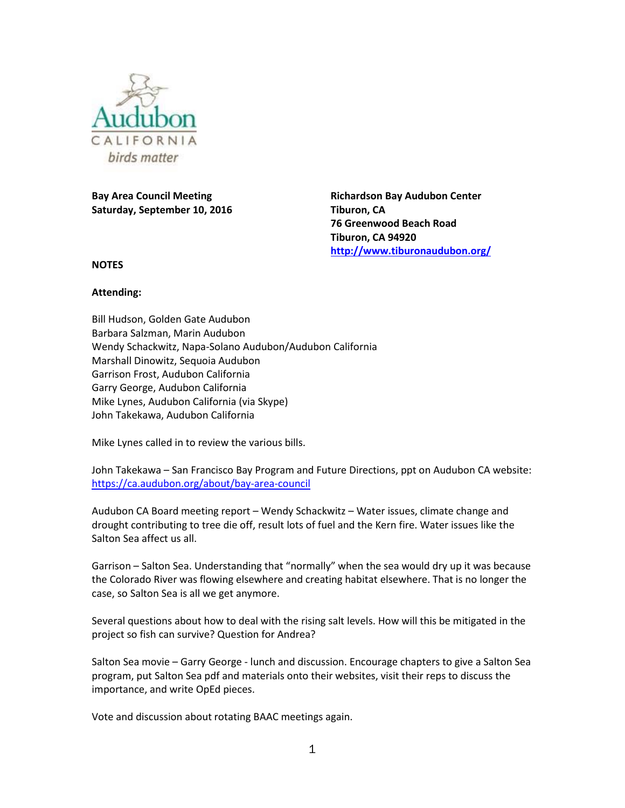

**Bay Area Council Meeting Saturday, September 10, 2016** **Richardson Bay Audubon Center Tiburon, CA 76 Greenwood Beach Road Tiburon, CA 94920 <http://www.tiburonaudubon.org/>**

**NOTES**

## **Attending:**

Bill Hudson, Golden Gate Audubon Barbara Salzman, Marin Audubon Wendy Schackwitz, Napa-Solano Audubon/Audubon California Marshall Dinowitz, Sequoia Audubon Garrison Frost, Audubon California Garry George, Audubon California Mike Lynes, Audubon California (via Skype) John Takekawa, Audubon California

Mike Lynes called in to review the various bills.

John Takekawa – San Francisco Bay Program and Future Directions, ppt on Audubon CA website: <https://ca.audubon.org/about/bay-area-council>

Audubon CA Board meeting report – Wendy Schackwitz – Water issues, climate change and drought contributing to tree die off, result lots of fuel and the Kern fire. Water issues like the Salton Sea affect us all.

Garrison – Salton Sea. Understanding that "normally" when the sea would dry up it was because the Colorado River was flowing elsewhere and creating habitat elsewhere. That is no longer the case, so Salton Sea is all we get anymore.

Several questions about how to deal with the rising salt levels. How will this be mitigated in the project so fish can survive? Question for Andrea?

Salton Sea movie – Garry George - lunch and discussion. Encourage chapters to give a Salton Sea program, put Salton Sea pdf and materials onto their websites, visit their reps to discuss the importance, and write OpEd pieces.

Vote and discussion about rotating BAAC meetings again.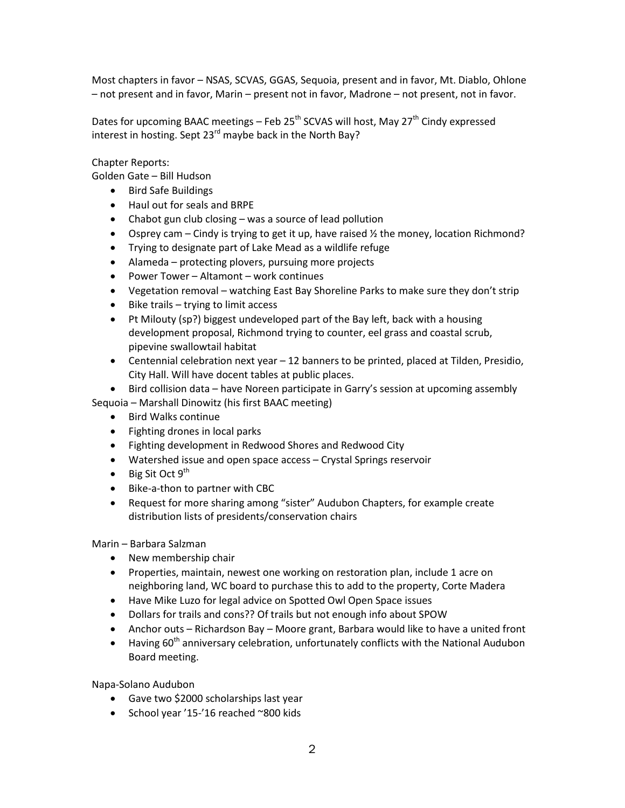Most chapters in favor – NSAS, SCVAS, GGAS, Sequoia, present and in favor, Mt. Diablo, Ohlone – not present and in favor, Marin – present not in favor, Madrone – not present, not in favor.

Dates for upcoming BAAC meetings – Feb 25<sup>th</sup> SCVAS will host, May 27<sup>th</sup> Cindy expressed interest in hosting. Sept  $23^{rd}$  maybe back in the North Bay?

Chapter Reports:

Golden Gate – Bill Hudson

- Bird Safe Buildings
- Haul out for seals and BRPE
- Chabot gun club closing was a source of lead pollution
- Osprey cam Cindy is trying to get it up, have raised  $\frac{1}{2}$  the money, location Richmond?
- Trying to designate part of Lake Mead as a wildlife refuge
- Alameda protecting plovers, pursuing more projects
- Power Tower Altamont work continues
- Vegetation removal watching East Bay Shoreline Parks to make sure they don't strip
- Bike trails trying to limit access
- Pt Milouty (sp?) biggest undeveloped part of the Bay left, back with a housing development proposal, Richmond trying to counter, eel grass and coastal scrub, pipevine swallowtail habitat
- Centennial celebration next year 12 banners to be printed, placed at Tilden, Presidio, City Hall. Will have docent tables at public places.

• Bird collision data – have Noreen participate in Garry's session at upcoming assembly Sequoia – Marshall Dinowitz (his first BAAC meeting)

- Bird Walks continue
- Fighting drones in local parks
- Fighting development in Redwood Shores and Redwood City
- Watershed issue and open space access Crystal Springs reservoir
- Big Sit Oct  $9<sup>th</sup>$
- Bike-a-thon to partner with CBC
- Request for more sharing among "sister" Audubon Chapters, for example create distribution lists of presidents/conservation chairs

Marin – Barbara Salzman

- New membership chair
- Properties, maintain, newest one working on restoration plan, include 1 acre on neighboring land, WC board to purchase this to add to the property, Corte Madera
- Have Mike Luzo for legal advice on Spotted Owl Open Space issues
- Dollars for trails and cons?? Of trails but not enough info about SPOW
- Anchor outs Richardson Bay Moore grant, Barbara would like to have a united front
- $\bullet$  Having 60<sup>th</sup> anniversary celebration, unfortunately conflicts with the National Audubon Board meeting.

Napa-Solano Audubon

- Gave two \$2000 scholarships last year
- School year '15-'16 reached ~800 kids